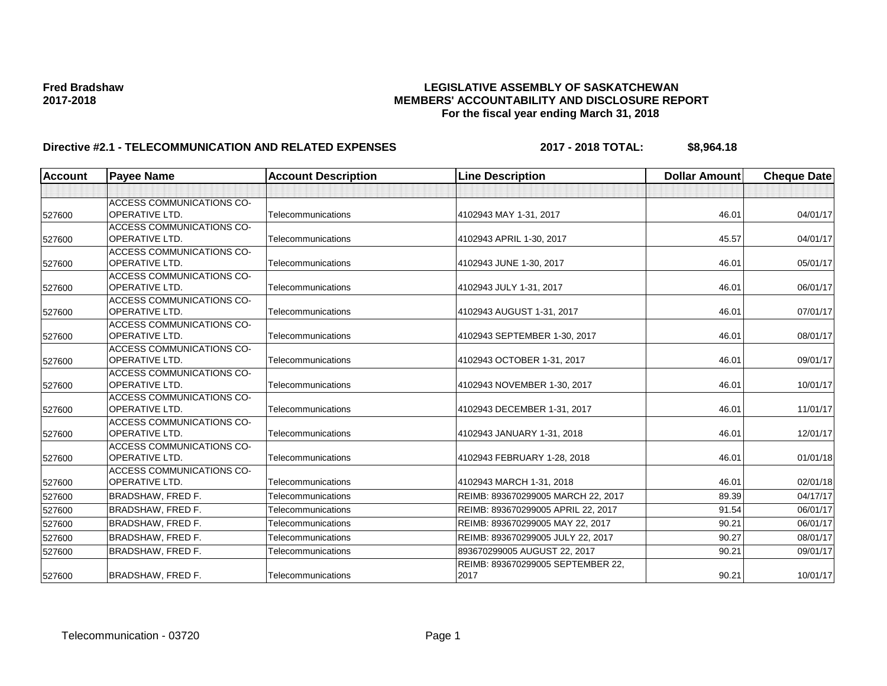### **Fred Bradshaw LEGISLATIVE ASSEMBLY OF SASKATCHEWAN 2017-2018 MEMBERS' ACCOUNTABILITY AND DISCLOSURE REPORT For the fiscal year ending March 31, 2018**

# **Directive #2.1 - TELECOMMUNICATION AND RELATED EXPENSES** 2017 - 2018 TOTAL: \$8,964.18

| <b>Account</b> | <b>Payee Name</b>                                         | <b>Account Description</b> | <b>Line Description</b>            | <b>Dollar Amount</b> | <b>Cheque Date</b> |
|----------------|-----------------------------------------------------------|----------------------------|------------------------------------|----------------------|--------------------|
|                |                                                           |                            |                                    |                      |                    |
| 527600         | <b>ACCESS COMMUNICATIONS CO-</b><br><b>OPERATIVE LTD.</b> | Telecommunications         | 4102943 MAY 1-31, 2017             | 46.01                | 04/01/17           |
|                | <b>ACCESS COMMUNICATIONS CO-</b>                          |                            |                                    |                      |                    |
| 527600         | <b>OPERATIVE LTD.</b>                                     | Telecommunications         | 4102943 APRIL 1-30, 2017           | 45.57                | 04/01/17           |
|                | <b>ACCESS COMMUNICATIONS CO-</b>                          |                            |                                    |                      |                    |
| 527600         | <b>OPERATIVE LTD.</b>                                     | Telecommunications         | 4102943 JUNE 1-30, 2017            | 46.01                | 05/01/17           |
|                | <b>ACCESS COMMUNICATIONS CO-</b>                          |                            |                                    |                      |                    |
| 527600         | <b>OPERATIVE LTD.</b>                                     | Telecommunications         | 4102943 JULY 1-31, 2017            | 46.01                | 06/01/17           |
| 527600         | <b>ACCESS COMMUNICATIONS CO-</b><br><b>OPERATIVE LTD.</b> | Telecommunications         | 4102943 AUGUST 1-31, 2017          | 46.01                | 07/01/17           |
| 527600         | <b>ACCESS COMMUNICATIONS CO-</b><br><b>OPERATIVE LTD.</b> | Telecommunications         | 4102943 SEPTEMBER 1-30, 2017       | 46.01                | 08/01/17           |
| 527600         | <b>ACCESS COMMUNICATIONS CO-</b><br><b>OPERATIVE LTD.</b> | Telecommunications         | 4102943 OCTOBER 1-31, 2017         | 46.01                | 09/01/17           |
|                | <b>ACCESS COMMUNICATIONS CO-</b>                          |                            |                                    |                      |                    |
| 527600         | <b>OPERATIVE LTD.</b>                                     | Telecommunications         | 4102943 NOVEMBER 1-30, 2017        | 46.01                | 10/01/17           |
| 527600         | <b>ACCESS COMMUNICATIONS CO-</b><br><b>OPERATIVE LTD.</b> | Telecommunications         | 4102943 DECEMBER 1-31, 2017        | 46.01                | 11/01/17           |
| 527600         | <b>ACCESS COMMUNICATIONS CO-</b><br><b>OPERATIVE LTD.</b> | Telecommunications         | 4102943 JANUARY 1-31, 2018         | 46.01                | 12/01/17           |
| 527600         | <b>ACCESS COMMUNICATIONS CO-</b><br> OPERATIVE LTD.       | Telecommunications         | 4102943 FEBRUARY 1-28, 2018        | 46.01                | 01/01/18           |
| 527600         | <b>ACCESS COMMUNICATIONS CO-</b><br><b>OPERATIVE LTD.</b> | Telecommunications         | 4102943 MARCH 1-31, 2018           | 46.01                | 02/01/18           |
| 527600         | <b>BRADSHAW, FRED F.</b>                                  | Telecommunications         | REIMB: 893670299005 MARCH 22, 2017 | 89.39                | 04/17/17           |
| 527600         | <b>BRADSHAW, FRED F.</b>                                  | Telecommunications         | REIMB: 893670299005 APRIL 22, 2017 | 91.54                | 06/01/17           |
| 527600         | <b>BRADSHAW, FRED F.</b>                                  | Telecommunications         | REIMB: 893670299005 MAY 22, 2017   | 90.21                | 06/01/17           |
| 527600         | <b>BRADSHAW, FRED F.</b>                                  | Telecommunications         | REIMB: 893670299005 JULY 22, 2017  | 90.27                | 08/01/17           |
| 527600         | <b>BRADSHAW, FRED F.</b>                                  | Telecommunications         | 893670299005 AUGUST 22, 2017       | 90.21                | 09/01/17           |
|                |                                                           |                            | REIMB: 893670299005 SEPTEMBER 22,  |                      |                    |
| 527600         | <b>BRADSHAW, FRED F.</b>                                  | Telecommunications         | 2017                               | 90.21                | 10/01/17           |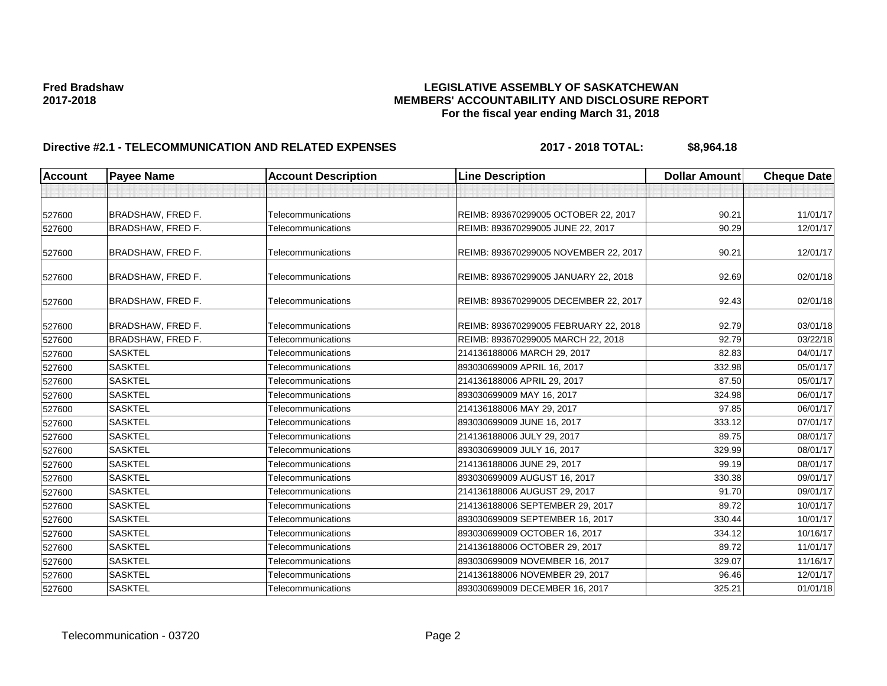### **Fred Bradshaw LEGISLATIVE ASSEMBLY OF SASKATCHEWAN 2017-2018 MEMBERS' ACCOUNTABILITY AND DISCLOSURE REPORT For the fiscal year ending March 31, 2018**

# **Directive #2.1 - TELECOMMUNICATION AND RELATED EXPENSES** 2017 - 2018 TOTAL: \$8,964.18

| <b>Account</b> | <b>Payee Name</b>        | <b>Account Description</b> | <b>Line Description</b>               | <b>Dollar Amount</b> | <b>Cheque Date</b> |
|----------------|--------------------------|----------------------------|---------------------------------------|----------------------|--------------------|
|                |                          |                            |                                       |                      |                    |
| 527600         | <b>BRADSHAW, FRED F.</b> | Telecommunications         | REIMB: 893670299005 OCTOBER 22, 2017  | 90.21                | 11/01/17           |
| 527600         | BRADSHAW, FRED F.        | Telecommunications         | REIMB: 893670299005 JUNE 22, 2017     | 90.29                | 12/01/17           |
| 527600         | <b>BRADSHAW, FRED F.</b> | Telecommunications         | REIMB: 893670299005 NOVEMBER 22, 2017 | 90.21                | 12/01/17           |
| 527600         | <b>BRADSHAW, FRED F.</b> | Telecommunications         | REIMB: 893670299005 JANUARY 22, 2018  | 92.69                | 02/01/18           |
| 527600         | <b>BRADSHAW, FRED F.</b> | Telecommunications         | REIMB: 893670299005 DECEMBER 22, 2017 | 92.43                | 02/01/18           |
| 527600         | <b>BRADSHAW, FRED F.</b> | Telecommunications         | REIMB: 893670299005 FEBRUARY 22, 2018 | 92.79                | 03/01/18           |
| 527600         | <b>BRADSHAW, FRED F.</b> | Telecommunications         | REIMB: 893670299005 MARCH 22, 2018    | 92.79                | 03/22/18           |
| 527600         | <b>SASKTEL</b>           | Telecommunications         | 214136188006 MARCH 29, 2017           | 82.83                | 04/01/17           |
| 527600         | <b>SASKTEL</b>           | Telecommunications         | 893030699009 APRIL 16, 2017           | 332.98               | 05/01/17           |
| 527600         | <b>SASKTEL</b>           | Telecommunications         | 214136188006 APRIL 29, 2017           | 87.50                | 05/01/17           |
| 527600         | <b>SASKTEL</b>           | Telecommunications         | 893030699009 MAY 16, 2017             | 324.98               | 06/01/17           |
| 527600         | <b>SASKTEL</b>           | Telecommunications         | 214136188006 MAY 29, 2017             | 97.85                | 06/01/17           |
| 527600         | <b>SASKTEL</b>           | Telecommunications         | 893030699009 JUNE 16, 2017            | 333.12               | 07/01/17           |
| 527600         | <b>SASKTEL</b>           | Telecommunications         | 214136188006 JULY 29, 2017            | 89.75                | 08/01/17           |
| 527600         | <b>SASKTEL</b>           | Telecommunications         | 893030699009 JULY 16, 2017            | 329.99               | 08/01/17           |
| 527600         | <b>SASKTEL</b>           | Telecommunications         | 214136188006 JUNE 29, 2017            | 99.19                | 08/01/17           |
| 527600         | <b>SASKTEL</b>           | Telecommunications         | 893030699009 AUGUST 16, 2017          | 330.38               | 09/01/17           |
| 527600         | <b>SASKTEL</b>           | Telecommunications         | 214136188006 AUGUST 29, 2017          | 91.70                | 09/01/17           |
| 527600         | <b>SASKTEL</b>           | Telecommunications         | 214136188006 SEPTEMBER 29, 2017       | 89.72                | 10/01/17           |
| 527600         | <b>SASKTEL</b>           | Telecommunications         | 893030699009 SEPTEMBER 16, 2017       | 330.44               | 10/01/17           |
| 527600         | <b>SASKTEL</b>           | Telecommunications         | 893030699009 OCTOBER 16, 2017         | 334.12               | 10/16/17           |
| 527600         | <b>SASKTEL</b>           | Telecommunications         | 214136188006 OCTOBER 29, 2017         | 89.72                | 11/01/17           |
| 527600         | <b>SASKTEL</b>           | Telecommunications         | 893030699009 NOVEMBER 16, 2017        | 329.07               | 11/16/17           |
| 527600         | <b>SASKTEL</b>           | Telecommunications         | 214136188006 NOVEMBER 29, 2017        | 96.46                | 12/01/17           |
| 527600         | <b>SASKTEL</b>           | Telecommunications         | 893030699009 DECEMBER 16, 2017        | 325.21               | 01/01/18           |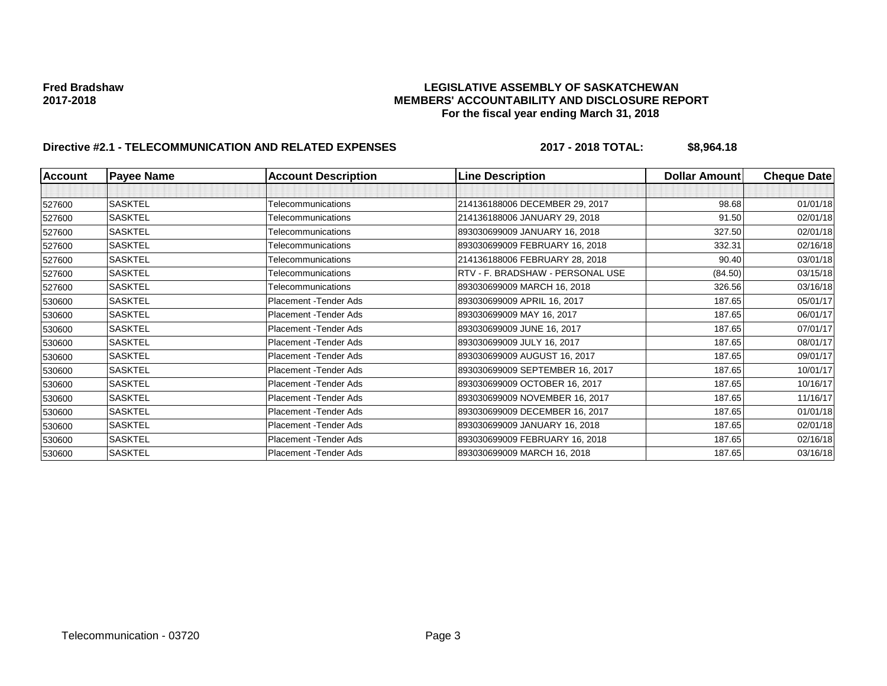### **Fred Bradshaw LEGISLATIVE ASSEMBLY OF SASKATCHEWAN 2017-2018 MEMBERS' ACCOUNTABILITY AND DISCLOSURE REPORT For the fiscal year ending March 31, 2018**

# **Directive #2.1 - TELECOMMUNICATION AND RELATED EXPENSES** 2017 - 2018 TOTAL: \$8,964.18

| <b>Account</b> | <b>Payee Name</b> | <b>Account Description</b> | <b>Line Description</b>          | <b>Dollar Amount</b> | <b>Cheque Date</b> |
|----------------|-------------------|----------------------------|----------------------------------|----------------------|--------------------|
|                |                   |                            |                                  |                      |                    |
| 527600         | <b>SASKTEL</b>    | Telecommunications         | 214136188006 DECEMBER 29, 2017   | 98.68                | 01/01/18           |
| 527600         | <b>SASKTEL</b>    | Telecommunications         | 214136188006 JANUARY 29, 2018    | 91.50                | 02/01/18           |
| 527600         | <b>SASKTEL</b>    | Telecommunications         | 893030699009 JANUARY 16, 2018    | 327.50               | 02/01/18           |
| 527600         | <b>SASKTEL</b>    | Telecommunications         | 893030699009 FEBRUARY 16, 2018   | 332.31               | 02/16/18           |
| 527600         | <b>SASKTEL</b>    | Telecommunications         | 214136188006 FEBRUARY 28, 2018   | 90.40                | 03/01/18           |
| 527600         | <b>SASKTEL</b>    | Telecommunications         | RTV - F. BRADSHAW - PERSONAL USE | (84.50)              | 03/15/18           |
| 527600         | <b>SASKTEL</b>    | Telecommunications         | 893030699009 MARCH 16, 2018      | 326.56               | 03/16/18           |
| 530600         | <b>SASKTEL</b>    | Placement - Tender Ads     | 893030699009 APRIL 16, 2017      | 187.65               | 05/01/17           |
| 530600         | <b>SASKTEL</b>    | Placement - Tender Ads     | 893030699009 MAY 16, 2017        | 187.65               | 06/01/17           |
| 530600         | SASKTEL           | Placement - Tender Ads     | 893030699009 JUNE 16, 2017       | 187.65               | 07/01/17           |
| 530600         | <b>SASKTEL</b>    | Placement - Tender Ads     | 893030699009 JULY 16, 2017       | 187.65               | 08/01/17           |
| 530600         | <b>SASKTEL</b>    | Placement - Tender Ads     | 893030699009 AUGUST 16, 2017     | 187.65               | 09/01/17           |
| 530600         | <b>SASKTEL</b>    | Placement - Tender Ads     | 893030699009 SEPTEMBER 16, 2017  | 187.65               | 10/01/17           |
| 530600         | SASKTEL           | Placement - Tender Ads     | 893030699009 OCTOBER 16, 2017    | 187.65               | 10/16/17           |
| 530600         | <b>SASKTEL</b>    | Placement - Tender Ads     | 893030699009 NOVEMBER 16, 2017   | 187.65               | 11/16/17           |
| 530600         | <b>SASKTEL</b>    | Placement - Tender Ads     | 893030699009 DECEMBER 16, 2017   | 187.65               | 01/01/18           |
| 530600         | <b>SASKTEL</b>    | Placement - Tender Ads     | 893030699009 JANUARY 16, 2018    | 187.65               | 02/01/18           |
| 530600         | <b>SASKTEL</b>    | Placement - Tender Ads     | 893030699009 FEBRUARY 16, 2018   | 187.65               | 02/16/18           |
| 530600         | <b>SASKTEL</b>    | Placement - Tender Ads     | 893030699009 MARCH 16, 2018      | 187.65               | 03/16/18           |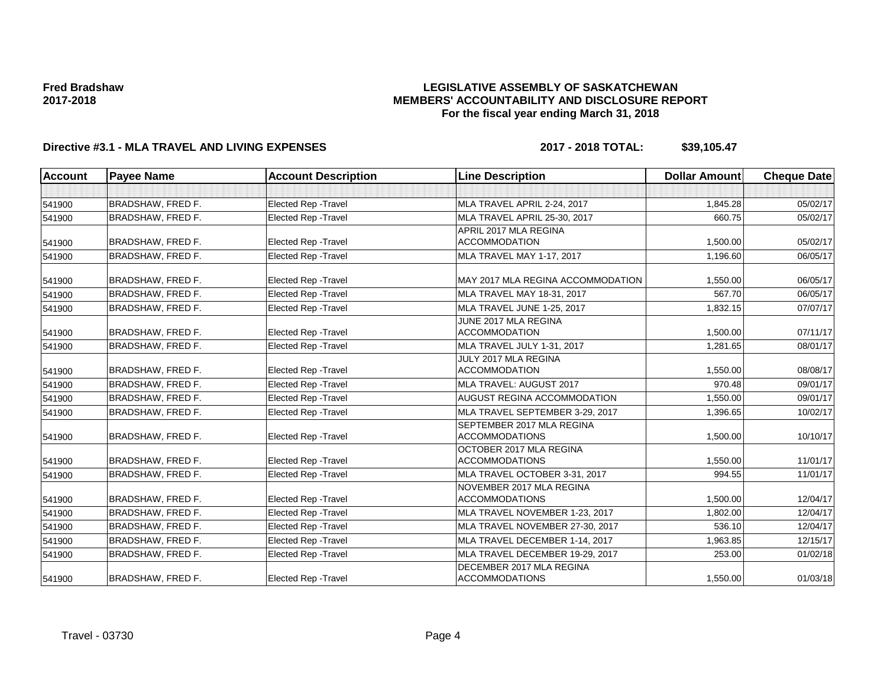### **LEGISLATIVE ASSEMBLY OF SASKATCHEWAN MEMBERS' ACCOUNTABILITY AND DISCLOSURE REPORT For the fiscal year ending March 31, 2018**

# **Directive #3.1 - MLA TRAVEL AND LIVING EXPENSES 2017 - 2018 TOTAL: \$39,105.47**

| <b>Account</b> | <b>Payee Name</b>        | <b>Account Description</b>  | <b>Line Description</b>                                  | <b>Dollar Amount</b> | <b>Cheque Date</b> |
|----------------|--------------------------|-----------------------------|----------------------------------------------------------|----------------------|--------------------|
|                |                          |                             |                                                          |                      |                    |
| 541900         | BRADSHAW. FRED F.        | <b>Elected Rep - Travel</b> | MLA TRAVEL APRIL 2-24, 2017                              | 1,845.28             | 05/02/17           |
| 541900         | <b>BRADSHAW, FRED F.</b> | <b>Elected Rep - Travel</b> | MLA TRAVEL APRIL 25-30, 2017                             | 660.75               | 05/02/17           |
|                |                          |                             | APRIL 2017 MLA REGINA                                    |                      |                    |
| 541900         | <b>BRADSHAW, FRED F.</b> | <b>Elected Rep - Travel</b> | <b>ACCOMMODATION</b>                                     | 1,500.00             | 05/02/17           |
| 541900         | <b>BRADSHAW, FRED F.</b> | <b>Elected Rep - Travel</b> | MLA TRAVEL MAY 1-17, 2017                                | 1,196.60             | 06/05/17           |
| 541900         | <b>BRADSHAW, FRED F.</b> | <b>Elected Rep - Travel</b> | MAY 2017 MLA REGINA ACCOMMODATION                        | 1,550.00             | 06/05/17           |
| 541900         | <b>BRADSHAW, FRED F.</b> | <b>Elected Rep - Travel</b> | MLA TRAVEL MAY 18-31, 2017                               | 567.70               | 06/05/17           |
| 541900         | <b>BRADSHAW, FRED F.</b> | <b>Elected Rep - Travel</b> | MLA TRAVEL JUNE 1-25, 2017                               | 1,832.15             | 07/07/17           |
| 541900         | <b>BRADSHAW, FRED F.</b> | <b>Elected Rep - Travel</b> | JUNE 2017 MLA REGINA<br><b>ACCOMMODATION</b>             | 1,500.00             | 07/11/17           |
| 541900         | <b>BRADSHAW, FRED F.</b> | Elected Rep - Travel        | MLA TRAVEL JULY 1-31, 2017                               | 1,281.65             | 08/01/17           |
| 541900         | <b>BRADSHAW, FRED F.</b> | <b>Elected Rep - Travel</b> | JULY 2017 MLA REGINA<br><b>ACCOMMODATION</b>             | 1,550.00             | 08/08/17           |
| 541900         | <b>BRADSHAW, FRED F.</b> | <b>Elected Rep - Travel</b> | MLA TRAVEL: AUGUST 2017                                  | 970.48               | 09/01/17           |
| 541900         | BRADSHAW, FRED F.        | <b>Elected Rep - Travel</b> | AUGUST REGINA ACCOMMODATION                              | 1,550.00             | 09/01/17           |
| 541900         | <b>BRADSHAW, FRED F.</b> | Elected Rep - Travel        | MLA TRAVEL SEPTEMBER 3-29, 2017                          | 1,396.65             | 10/02/17           |
| 541900         | <b>BRADSHAW, FRED F.</b> | <b>Elected Rep - Travel</b> | SEPTEMBER 2017 MLA REGINA<br><b>ACCOMMODATIONS</b>       | 1,500.00             | 10/10/17           |
| 541900         | <b>BRADSHAW, FRED F.</b> | <b>Elected Rep - Travel</b> | OCTOBER 2017 MLA REGINA<br><b>ACCOMMODATIONS</b>         | 1,550.00             | 11/01/17           |
| 541900         | <b>BRADSHAW, FRED F.</b> | <b>Elected Rep - Travel</b> | MLA TRAVEL OCTOBER 3-31, 2017                            | 994.55               | 11/01/17           |
| 541900         | <b>BRADSHAW, FRED F.</b> | <b>Elected Rep - Travel</b> | NOVEMBER 2017 MLA REGINA<br><b>ACCOMMODATIONS</b>        | 1,500.00             | 12/04/17           |
| 541900         | BRADSHAW, FRED F.        | <b>Elected Rep - Travel</b> | MLA TRAVEL NOVEMBER 1-23, 2017                           | 1,802.00             | 12/04/17           |
| 541900         | <b>BRADSHAW, FRED F.</b> | <b>Elected Rep - Travel</b> | MLA TRAVEL NOVEMBER 27-30, 2017                          | 536.10               | 12/04/17           |
| 541900         | <b>BRADSHAW, FRED F.</b> | Elected Rep - Travel        | MLA TRAVEL DECEMBER 1-14, 2017                           | 1,963.85             | 12/15/17           |
| 541900         | <b>BRADSHAW, FRED F.</b> | <b>Elected Rep - Travel</b> | MLA TRAVEL DECEMBER 19-29, 2017                          | 253.00               | 01/02/18           |
| 541900         | <b>BRADSHAW, FRED F.</b> | <b>Elected Rep - Travel</b> | <b>DECEMBER 2017 MLA REGINA</b><br><b>ACCOMMODATIONS</b> | 1,550.00             | 01/03/18           |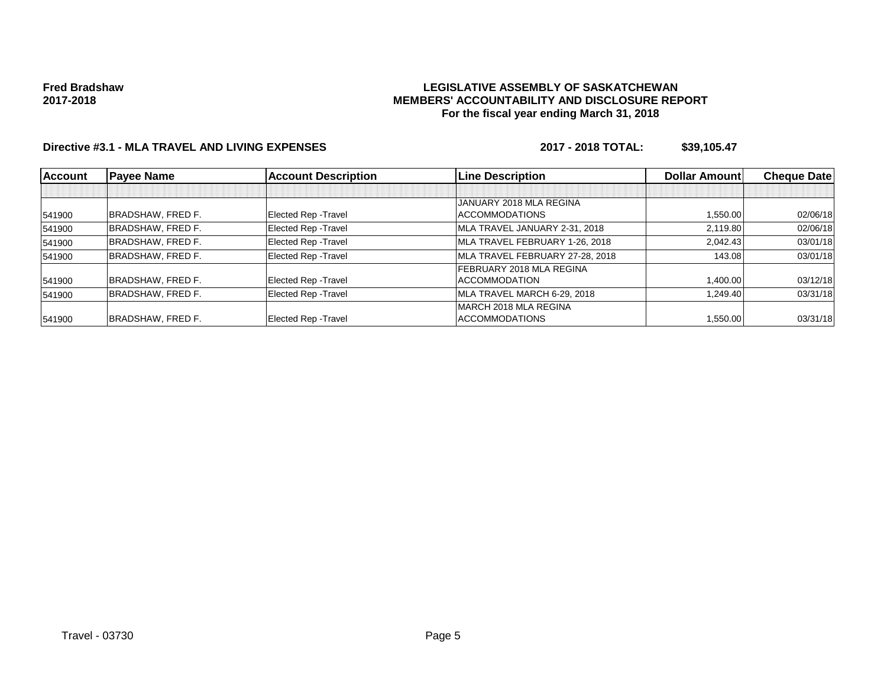#### **LEGISLATIVE ASSEMBLY OF SASKATCHEWAN MEMBERS' ACCOUNTABILITY AND DISCLOSURE REPORT For the fiscal year ending March 31, 2018**

# **Directive #3.1 - MLA TRAVEL AND LIVING EXPENSES 2017 - 2018 TOTAL: \$39,105.47**

| <b>Account</b> | <b>Payee Name</b>        | <b>Account Description</b>  | <b>Line Description</b>         | <b>Dollar Amountl</b> | <b>Cheque Date</b> |
|----------------|--------------------------|-----------------------------|---------------------------------|-----------------------|--------------------|
|                |                          |                             |                                 |                       |                    |
|                |                          |                             | JANUARY 2018 MLA REGINA         |                       |                    |
| 541900         | <b>BRADSHAW, FRED F.</b> | Elected Rep - Travel        | <b>ACCOMMODATIONS</b>           | 1,550.00              | 02/06/18           |
| 541900         | <b>BRADSHAW, FRED F.</b> | Elected Rep - Travel        | MLA TRAVEL JANUARY 2-31, 2018   | 2.119.80              | 02/06/18           |
| 541900         | <b>BRADSHAW, FRED F.</b> | Elected Rep - Travel        | MLA TRAVEL FEBRUARY 1-26, 2018  | 2.042.43              | 03/01/18           |
| 541900         | <b>BRADSHAW, FRED F.</b> | Elected Rep - Travel        | MLA TRAVEL FEBRUARY 27-28, 2018 | 143.08                | 03/01/18           |
|                |                          |                             | FEBRUARY 2018 MLA REGINA        |                       |                    |
| 541900         | <b>BRADSHAW, FRED F.</b> | Elected Rep - Travel        | <b>ACCOMMODATION</b>            | 1,400.00              | 03/12/18           |
| 541900         | <b>BRADSHAW, FRED F.</b> | Elected Rep - Travel        | MLA TRAVEL MARCH 6-29, 2018     | 1.249.40              | 03/31/18           |
|                |                          |                             | MARCH 2018 MLA REGINA           |                       |                    |
| 541900         | BRADSHAW, FRED F.        | <b>Elected Rep - Travel</b> | <b>ACCOMMODATIONS</b>           | 1,550.00              | 03/31/18           |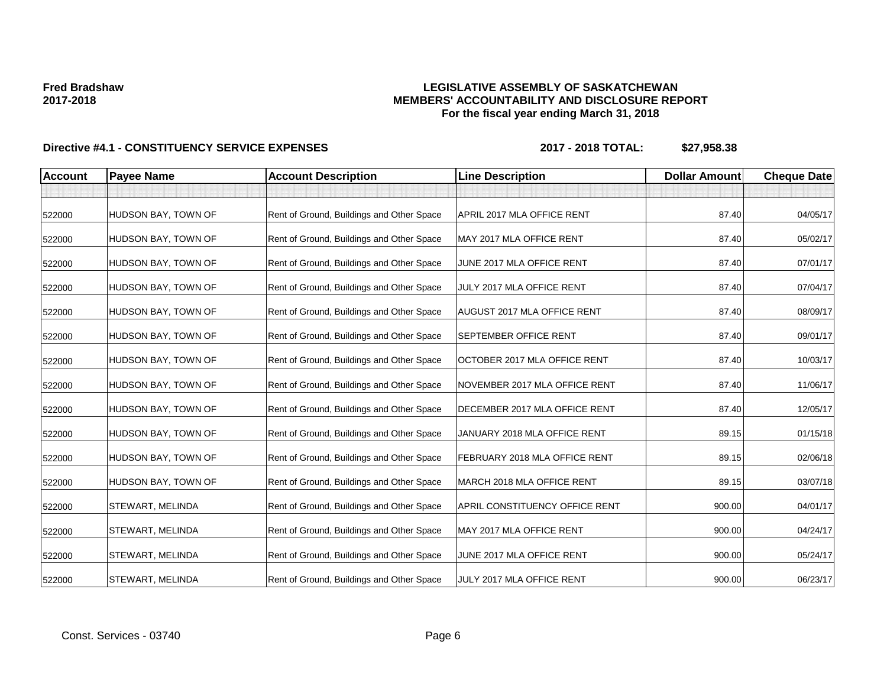### **LEGISLATIVE ASSEMBLY OF SASKATCHEWAN MEMBERS' ACCOUNTABILITY AND DISCLOSURE REPORT For the fiscal year ending March 31, 2018**

| <b>Account</b> | <b>Payee Name</b>       | <b>Account Description</b>                | <b>Line Description</b>            | <b>Dollar Amount</b> | <b>Cheque Date</b> |
|----------------|-------------------------|-------------------------------------------|------------------------------------|----------------------|--------------------|
|                |                         |                                           |                                    |                      |                    |
| 522000         | HUDSON BAY, TOWN OF     | Rent of Ground, Buildings and Other Space | APRIL 2017 MLA OFFICE RENT         | 87.40                | 04/05/17           |
| 522000         | HUDSON BAY, TOWN OF     | Rent of Ground, Buildings and Other Space | MAY 2017 MLA OFFICE RENT           | 87.40                | 05/02/17           |
| 522000         | HUDSON BAY, TOWN OF     | Rent of Ground, Buildings and Other Space | JUNE 2017 MLA OFFICE RENT          | 87.40                | 07/01/17           |
| 522000         | HUDSON BAY, TOWN OF     | Rent of Ground, Buildings and Other Space | JULY 2017 MLA OFFICE RENT          | 87.40                | 07/04/17           |
| 522000         | HUDSON BAY, TOWN OF     | Rent of Ground, Buildings and Other Space | <b>AUGUST 2017 MLA OFFICE RENT</b> | 87.40                | 08/09/17           |
| 522000         | HUDSON BAY, TOWN OF     | Rent of Ground, Buildings and Other Space | SEPTEMBER OFFICE RENT              | 87.40                | 09/01/17           |
| 522000         | HUDSON BAY, TOWN OF     | Rent of Ground, Buildings and Other Space | OCTOBER 2017 MLA OFFICE RENT       | 87.40                | 10/03/17           |
| 522000         | HUDSON BAY, TOWN OF     | Rent of Ground, Buildings and Other Space | NOVEMBER 2017 MLA OFFICE RENT      | 87.40                | 11/06/17           |
| 522000         | HUDSON BAY, TOWN OF     | Rent of Ground, Buildings and Other Space | DECEMBER 2017 MLA OFFICE RENT      | 87.40                | 12/05/17           |
| 522000         | HUDSON BAY, TOWN OF     | Rent of Ground, Buildings and Other Space | JANUARY 2018 MLA OFFICE RENT       | 89.15                | 01/15/18           |
| 522000         | HUDSON BAY, TOWN OF     | Rent of Ground, Buildings and Other Space | FEBRUARY 2018 MLA OFFICE RENT      | 89.15                | 02/06/18           |
| 522000         | HUDSON BAY, TOWN OF     | Rent of Ground, Buildings and Other Space | MARCH 2018 MLA OFFICE RENT         | 89.15                | 03/07/18           |
| 522000         | <b>STEWART, MELINDA</b> | Rent of Ground, Buildings and Other Space | APRIL CONSTITUENCY OFFICE RENT     | 900.00               | 04/01/17           |
| 522000         | <b>STEWART, MELINDA</b> | Rent of Ground, Buildings and Other Space | MAY 2017 MLA OFFICE RENT           | 900.00               | 04/24/17           |
| 522000         | <b>STEWART, MELINDA</b> | Rent of Ground, Buildings and Other Space | JUNE 2017 MLA OFFICE RENT          | 900.00               | 05/24/17           |
| 522000         | <b>STEWART, MELINDA</b> | Rent of Ground, Buildings and Other Space | JULY 2017 MLA OFFICE RENT          | 900.00               | 06/23/17           |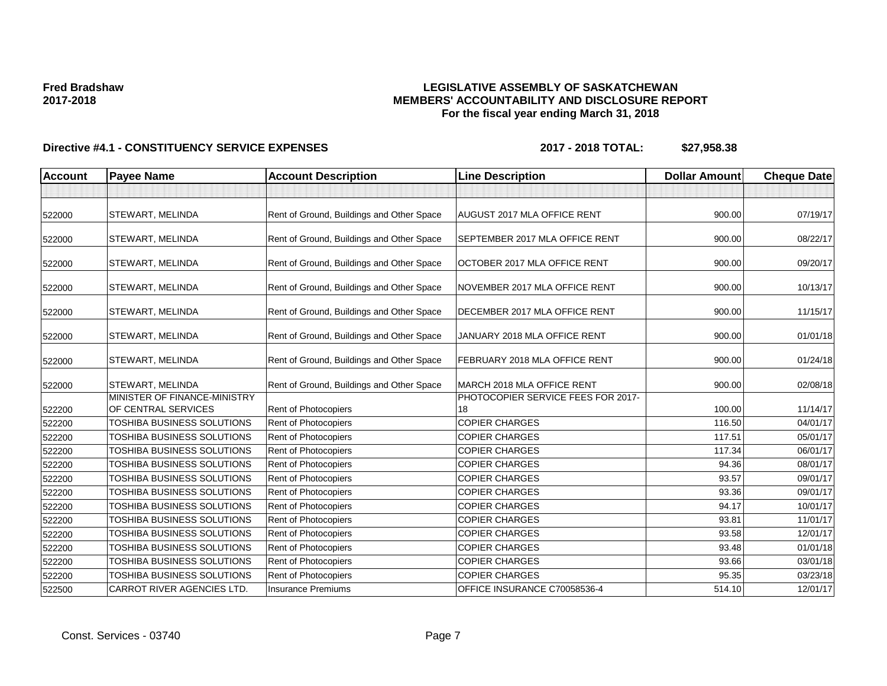### **LEGISLATIVE ASSEMBLY OF SASKATCHEWAN MEMBERS' ACCOUNTABILITY AND DISCLOSURE REPORT For the fiscal year ending March 31, 2018**

| <b>Account</b> | <b>Payee Name</b>                                   | <b>Account Description</b>                | <b>Line Description</b>                  | <b>Dollar Amount</b> | <b>Cheque Date</b> |
|----------------|-----------------------------------------------------|-------------------------------------------|------------------------------------------|----------------------|--------------------|
|                |                                                     |                                           |                                          |                      |                    |
| 522000         | <b>STEWART, MELINDA</b>                             | Rent of Ground, Buildings and Other Space | AUGUST 2017 MLA OFFICE RENT              | 900.00               | 07/19/17           |
| 522000         | STEWART, MELINDA                                    | Rent of Ground, Buildings and Other Space | SEPTEMBER 2017 MLA OFFICE RENT           | 900.00               | 08/22/17           |
| 522000         | STEWART, MELINDA                                    | Rent of Ground, Buildings and Other Space | OCTOBER 2017 MLA OFFICE RENT             | 900.00               | 09/20/17           |
| 522000         | <b>STEWART, MELINDA</b>                             | Rent of Ground, Buildings and Other Space | NOVEMBER 2017 MLA OFFICE RENT            | 900.00               | 10/13/17           |
| 522000         | <b>STEWART, MELINDA</b>                             | Rent of Ground, Buildings and Other Space | DECEMBER 2017 MLA OFFICE RENT            | 900.00               | 11/15/17           |
| 522000         | STEWART, MELINDA                                    | Rent of Ground, Buildings and Other Space | JANUARY 2018 MLA OFFICE RENT             | 900.00               | 01/01/18           |
| 522000         | STEWART, MELINDA                                    | Rent of Ground, Buildings and Other Space | FEBRUARY 2018 MLA OFFICE RENT            | 900.00               | 01/24/18           |
| 522000         | STEWART, MELINDA                                    | Rent of Ground, Buildings and Other Space | MARCH 2018 MLA OFFICE RENT               | 900.00               | 02/08/18           |
| 522200         | MINISTER OF FINANCE-MINISTRY<br>OF CENTRAL SERVICES | Rent of Photocopiers                      | PHOTOCOPIER SERVICE FEES FOR 2017-<br>18 | 100.00               | 11/14/17           |
| 522200         | <b>TOSHIBA BUSINESS SOLUTIONS</b>                   | <b>Rent of Photocopiers</b>               | <b>COPIER CHARGES</b>                    | 116.50               | 04/01/17           |
| 522200         | TOSHIBA BUSINESS SOLUTIONS                          | Rent of Photocopiers                      | <b>COPIER CHARGES</b>                    | 117.51               | 05/01/17           |
| 522200         | TOSHIBA BUSINESS SOLUTIONS                          | Rent of Photocopiers                      | <b>COPIER CHARGES</b>                    | 117.34               | 06/01/17           |
| 522200         | TOSHIBA BUSINESS SOLUTIONS                          | Rent of Photocopiers                      | <b>COPIER CHARGES</b>                    | 94.36                | 08/01/17           |
| 522200         | TOSHIBA BUSINESS SOLUTIONS                          | Rent of Photocopiers                      | <b>COPIER CHARGES</b>                    | 93.57                | 09/01/17           |
| 522200         | TOSHIBA BUSINESS SOLUTIONS                          | Rent of Photocopiers                      | <b>COPIER CHARGES</b>                    | 93.36                | 09/01/17           |
| 522200         | TOSHIBA BUSINESS SOLUTIONS                          | Rent of Photocopiers                      | <b>COPIER CHARGES</b>                    | 94.17                | 10/01/17           |
| 522200         | TOSHIBA BUSINESS SOLUTIONS                          | Rent of Photocopiers                      | <b>COPIER CHARGES</b>                    | 93.81                | 11/01/17           |
| 522200         | TOSHIBA BUSINESS SOLUTIONS                          | Rent of Photocopiers                      | <b>COPIER CHARGES</b>                    | 93.58                | 12/01/17           |
| 522200         | TOSHIBA BUSINESS SOLUTIONS                          | Rent of Photocopiers                      | <b>COPIER CHARGES</b>                    | 93.48                | 01/01/18           |
| 522200         | TOSHIBA BUSINESS SOLUTIONS                          | Rent of Photocopiers                      | <b>COPIER CHARGES</b>                    | 93.66                | 03/01/18           |
| 522200         | TOSHIBA BUSINESS SOLUTIONS                          | Rent of Photocopiers                      | <b>COPIER CHARGES</b>                    | 95.35                | 03/23/18           |
| 522500         | CARROT RIVER AGENCIES LTD.                          | <b>Insurance Premiums</b>                 | OFFICE INSURANCE C70058536-4             | 514.10               | 12/01/17           |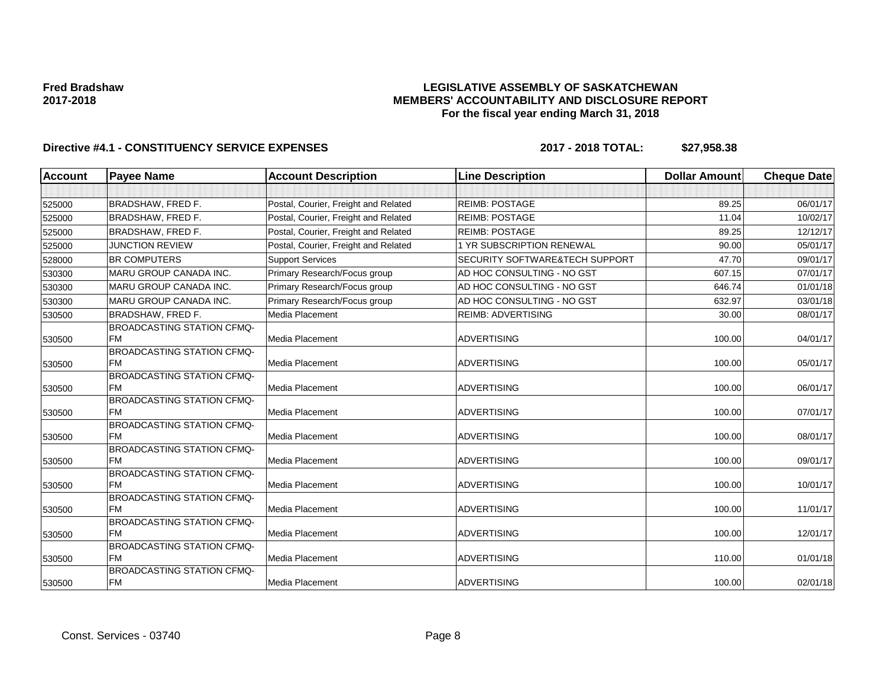### **LEGISLATIVE ASSEMBLY OF SASKATCHEWAN MEMBERS' ACCOUNTABILITY AND DISCLOSURE REPORT For the fiscal year ending March 31, 2018**

| <b>Account</b> | <b>Payee Name</b>                              | <b>Account Description</b>           | <b>Line Description</b>        | <b>Dollar Amount</b> | <b>Cheque Date</b> |
|----------------|------------------------------------------------|--------------------------------------|--------------------------------|----------------------|--------------------|
|                |                                                |                                      |                                |                      |                    |
| 525000         | BRADSHAW, FRED F.                              | Postal, Courier, Freight and Related | <b>REIMB: POSTAGE</b>          | 89.25                | 06/01/17           |
| 525000         | <b>BRADSHAW, FRED F.</b>                       | Postal, Courier, Freight and Related | <b>REIMB: POSTAGE</b>          | 11.04                | 10/02/17           |
| 525000         | <b>BRADSHAW, FRED F.</b>                       | Postal, Courier, Freight and Related | <b>REIMB: POSTAGE</b>          | 89.25                | 12/12/17           |
| 525000         | <b>JUNCTION REVIEW</b>                         | Postal, Courier, Freight and Related | 1 YR SUBSCRIPTION RENEWAL      | 90.00                | 05/01/17           |
| 528000         | <b>BR COMPUTERS</b>                            | <b>Support Services</b>              | SECURITY SOFTWARE&TECH SUPPORT | 47.70                | 09/01/17           |
| 530300         | <b>MARU GROUP CANADA INC.</b>                  | Primary Research/Focus group         | AD HOC CONSULTING - NO GST     | 607.15               | 07/01/17           |
| 530300         | <b>MARU GROUP CANADA INC.</b>                  | Primary Research/Focus group         | AD HOC CONSULTING - NO GST     | 646.74               | 01/01/18           |
| 530300         | <b>MARU GROUP CANADA INC.</b>                  | Primary Research/Focus group         | AD HOC CONSULTING - NO GST     | 632.97               | 03/01/18           |
| 530500         | <b>BRADSHAW, FRED F.</b>                       | Media Placement                      | <b>REIMB: ADVERTISING</b>      | 30.00                | 08/01/17           |
| 530500         | BROADCASTING STATION CFMQ-<br><b>FM</b>        | Media Placement                      | <b>ADVERTISING</b>             | 100.00               | 04/01/17           |
| 530500         | BROADCASTING STATION CFMQ-<br><b>FM</b>        | Media Placement                      | <b>ADVERTISING</b>             | 100.00               | 05/01/17           |
| 530500         | <b>BROADCASTING STATION CFMQ-</b><br><b>FM</b> | Media Placement                      | <b>ADVERTISING</b>             | 100.00               | 06/01/17           |
| 530500         | <b>BROADCASTING STATION CFMQ-</b><br><b>FM</b> | Media Placement                      | <b>ADVERTISING</b>             | 100.00               | 07/01/17           |
| 530500         | <b>BROADCASTING STATION CFMQ-</b><br><b>FM</b> | Media Placement                      | <b>ADVERTISING</b>             | 100.00               | 08/01/17           |
| 530500         | <b>BROADCASTING STATION CFMQ-</b><br><b>FM</b> | Media Placement                      | <b>ADVERTISING</b>             | 100.00               | 09/01/17           |
| 530500         | BROADCASTING STATION CFMQ-<br><b>FM</b>        | Media Placement                      | <b>ADVERTISING</b>             | 100.00               | 10/01/17           |
| 530500         | <b>BROADCASTING STATION CFMQ-</b><br><b>FM</b> | Media Placement                      | <b>ADVERTISING</b>             | 100.00               | 11/01/17           |
| 530500         | BROADCASTING STATION CFMQ-<br><b>FM</b>        | Media Placement                      | <b>ADVERTISING</b>             | 100.00               | 12/01/17           |
| 530500         | <b>BROADCASTING STATION CFMQ-</b><br><b>FM</b> | Media Placement                      | <b>ADVERTISING</b>             | 110.00               | 01/01/18           |
| 530500         | <b>BROADCASTING STATION CFMQ-</b><br><b>FM</b> | Media Placement                      | <b>ADVERTISING</b>             | 100.00               | 02/01/18           |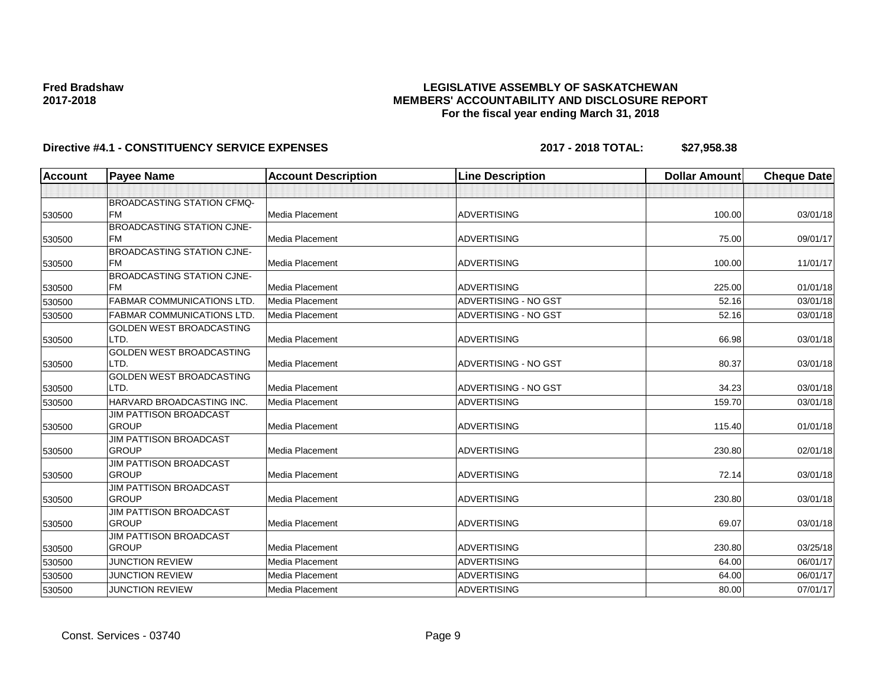### **LEGISLATIVE ASSEMBLY OF SASKATCHEWAN MEMBERS' ACCOUNTABILITY AND DISCLOSURE REPORT For the fiscal year ending March 31, 2018**

| <b>Account</b> | <b>Payee Name</b>                       | <b>Account Description</b> | <b>Line Description</b>     | <b>Dollar Amount</b> | <b>Cheque Date</b> |
|----------------|-----------------------------------------|----------------------------|-----------------------------|----------------------|--------------------|
|                |                                         |                            |                             |                      |                    |
|                | <b>BROADCASTING STATION CFMQ-</b>       |                            |                             |                      |                    |
| 530500         | <b>FM</b>                               | <b>Media Placement</b>     | <b>ADVERTISING</b>          | 100.00               | 03/01/18           |
|                | <b>BROADCASTING STATION CJNE-</b>       |                            |                             |                      |                    |
| 530500         | <b>FM</b>                               | <b>Media Placement</b>     | <b>ADVERTISING</b>          | 75.00                | 09/01/17           |
|                | <b>BROADCASTING STATION CJNE-</b>       |                            |                             |                      |                    |
| 530500         | <b>FM</b>                               | Media Placement            | <b>ADVERTISING</b>          | 100.00               | 11/01/17           |
|                | <b>BROADCASTING STATION CJNE-</b>       |                            |                             |                      |                    |
| 530500         | <b>FM</b>                               | Media Placement            | <b>ADVERTISING</b>          | 225.00               | 01/01/18           |
| 530500         | <b>FABMAR COMMUNICATIONS LTD</b>        | <b>Media Placement</b>     | <b>ADVERTISING - NO GST</b> | 52.16                | 03/01/18           |
| 530500         | <b>FABMAR COMMUNICATIONS LTD</b>        | <b>Media Placement</b>     | ADVERTISING - NO GST        | 52.16                | 03/01/18           |
|                | <b>GOLDEN WEST BROADCASTING</b>         |                            |                             |                      |                    |
| 530500         | LTD.                                    | <b>Media Placement</b>     | <b>ADVERTISING</b>          | 66.98                | 03/01/18           |
|                | <b>GOLDEN WEST BROADCASTING</b><br>LTD. |                            | ADVERTISING - NO GST        |                      |                    |
| 530500         | <b>GOLDEN WEST BROADCASTING</b>         | Media Placement            |                             | 80.37                | 03/01/18           |
| 530500         | LTD.                                    | <b>Media Placement</b>     | <b>ADVERTISING - NO GST</b> | 34.23                | 03/01/18           |
|                | HARVARD BROADCASTING INC.               | <b>Media Placement</b>     | <b>ADVERTISING</b>          | 159.70               | 03/01/18           |
| 530500         | <b>JIM PATTISON BROADCAST</b>           |                            |                             |                      |                    |
| 530500         | <b>GROUP</b>                            | Media Placement            | <b>ADVERTISING</b>          | 115.40               | 01/01/18           |
|                | <b>JIM PATTISON BROADCAST</b>           |                            |                             |                      |                    |
| 530500         | <b>GROUP</b>                            | <b>Media Placement</b>     | <b>ADVERTISING</b>          | 230.80               | 02/01/18           |
|                | <b>JIM PATTISON BROADCAST</b>           |                            |                             |                      |                    |
| 530500         | <b>GROUP</b>                            | <b>Media Placement</b>     | <b>ADVERTISING</b>          | 72.14                | 03/01/18           |
|                | <b>JIM PATTISON BROADCAST</b>           |                            |                             |                      |                    |
| 530500         | <b>GROUP</b>                            | Media Placement            | <b>ADVERTISING</b>          | 230.80               | 03/01/18           |
|                | <b>JIM PATTISON BROADCAST</b>           |                            |                             |                      |                    |
| 530500         | <b>GROUP</b>                            | <b>Media Placement</b>     | <b>ADVERTISING</b>          | 69.07                | 03/01/18           |
|                | <b>JIM PATTISON BROADCAST</b>           |                            |                             |                      |                    |
| 530500         | <b>GROUP</b>                            | <b>Media Placement</b>     | <b>ADVERTISING</b>          | 230.80               | 03/25/18           |
| 530500         | <b>JUNCTION REVIEW</b>                  | <b>Media Placement</b>     | <b>ADVERTISING</b>          | 64.00                | 06/01/17           |
| 530500         | <b>JUNCTION REVIEW</b>                  | Media Placement            | <b>ADVERTISING</b>          | 64.00                | 06/01/17           |
| 530500         | <b>JUNCTION REVIEW</b>                  | Media Placement            | <b>ADVERTISING</b>          | 80.00                | 07/01/17           |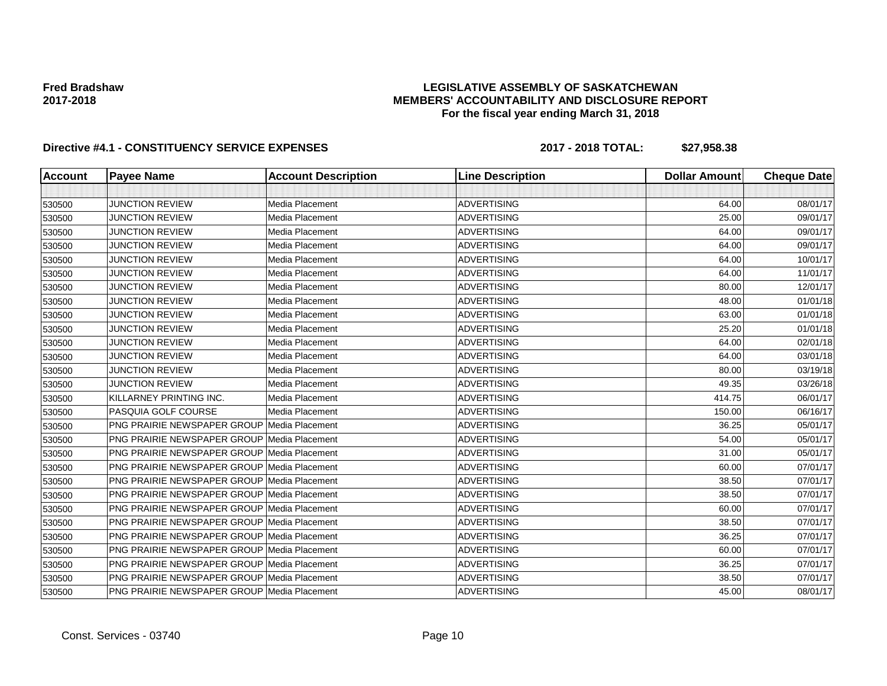### **LEGISLATIVE ASSEMBLY OF SASKATCHEWAN MEMBERS' ACCOUNTABILITY AND DISCLOSURE REPORT For the fiscal year ending March 31, 2018**

| <b>Account</b> | <b>Payee Name</b>                                  | <b>Account Description</b> | <b>Line Description</b> | <b>Dollar Amount</b> | <b>Cheque Date</b> |
|----------------|----------------------------------------------------|----------------------------|-------------------------|----------------------|--------------------|
|                |                                                    |                            |                         |                      |                    |
| 530500         | <b>JUNCTION REVIEW</b>                             | Media Placement            | <b>ADVERTISING</b>      | 64.00                | 08/01/17           |
| 530500         | <b>JUNCTION REVIEW</b>                             | Media Placement            | <b>ADVERTISING</b>      | 25.00                | 09/01/17           |
| 530500         | <b>JUNCTION REVIEW</b>                             | Media Placement            | <b>ADVERTISING</b>      | 64.00                | 09/01/17           |
| 530500         | <b>JUNCTION REVIEW</b>                             | Media Placement            | <b>ADVERTISING</b>      | 64.00                | 09/01/17           |
| 530500         | <b>JUNCTION REVIEW</b>                             | Media Placement            | <b>ADVERTISING</b>      | 64.00                | 10/01/17           |
| 530500         | <b>JUNCTION REVIEW</b>                             | <b>Media Placement</b>     | <b>ADVERTISING</b>      | 64.00                | 11/01/17           |
| 530500         | <b>JUNCTION REVIEW</b>                             | <b>Media Placement</b>     | <b>ADVERTISING</b>      | 80.00                | 12/01/17           |
| 530500         | <b>JUNCTION REVIEW</b>                             | Media Placement            | <b>ADVERTISING</b>      | 48.00                | 01/01/18           |
| 530500         | <b>JUNCTION REVIEW</b>                             | Media Placement            | <b>ADVERTISING</b>      | 63.00                | 01/01/18           |
| 530500         | <b>JUNCTION REVIEW</b>                             | Media Placement            | <b>ADVERTISING</b>      | 25.20                | 01/01/18           |
| 530500         | <b>JUNCTION REVIEW</b>                             | Media Placement            | <b>ADVERTISING</b>      | 64.00                | 02/01/18           |
| 530500         | <b>JUNCTION REVIEW</b>                             | <b>Media Placement</b>     | <b>ADVERTISING</b>      | 64.00                | 03/01/18           |
| 530500         | <b>JUNCTION REVIEW</b>                             | Media Placement            | <b>ADVERTISING</b>      | 80.00                | 03/19/18           |
| 530500         | <b>JUNCTION REVIEW</b>                             | Media Placement            | <b>ADVERTISING</b>      | 49.35                | 03/26/18           |
| 530500         | KILLARNEY PRINTING INC.                            | <b>Media Placement</b>     | <b>ADVERTISING</b>      | 414.75               | 06/01/17           |
| 530500         | PASQUIA GOLF COURSE                                | Media Placement            | <b>ADVERTISING</b>      | 150.00               | 06/16/17           |
| 530500         | <b>PNG PRAIRIE NEWSPAPER GROUP Media Placement</b> |                            | <b>ADVERTISING</b>      | 36.25                | 05/01/17           |
| 530500         | <b>PNG PRAIRIE NEWSPAPER GROUP Media Placement</b> |                            | <b>ADVERTISING</b>      | 54.00                | 05/01/17           |
| 530500         | <b>PNG PRAIRIE NEWSPAPER GROUP Media Placement</b> |                            | <b>ADVERTISING</b>      | 31.00                | 05/01/17           |
| 530500         | <b>PNG PRAIRIE NEWSPAPER GROUP Media Placement</b> |                            | <b>ADVERTISING</b>      | 60.00                | 07/01/17           |
| 530500         | <b>PNG PRAIRIE NEWSPAPER GROUP Media Placement</b> |                            | <b>ADVERTISING</b>      | 38.50                | 07/01/17           |
| 530500         | <b>PNG PRAIRIE NEWSPAPER GROUP Media Placement</b> |                            | <b>ADVERTISING</b>      | 38.50                | 07/01/17           |
| 530500         | PNG PRAIRIE NEWSPAPER GROUP Media Placement        |                            | <b>ADVERTISING</b>      | 60.00                | 07/01/17           |
| 530500         | <b>PNG PRAIRIE NEWSPAPER GROUP Media Placement</b> |                            | <b>ADVERTISING</b>      | 38.50                | 07/01/17           |
| 530500         | <b>PNG PRAIRIE NEWSPAPER GROUP Media Placement</b> |                            | <b>ADVERTISING</b>      | 36.25                | 07/01/17           |
| 530500         | <b>PNG PRAIRIE NEWSPAPER GROUP Media Placement</b> |                            | <b>ADVERTISING</b>      | 60.00                | 07/01/17           |
| 530500         | <b>PNG PRAIRIE NEWSPAPER GROUP Media Placement</b> |                            | <b>ADVERTISING</b>      | 36.25                | 07/01/17           |
| 530500         | <b>PNG PRAIRIE NEWSPAPER GROUP Media Placement</b> |                            | <b>ADVERTISING</b>      | 38.50                | 07/01/17           |
| 530500         | PNG PRAIRIE NEWSPAPER GROUP   Media Placement      |                            | <b>ADVERTISING</b>      | 45.00                | 08/01/17           |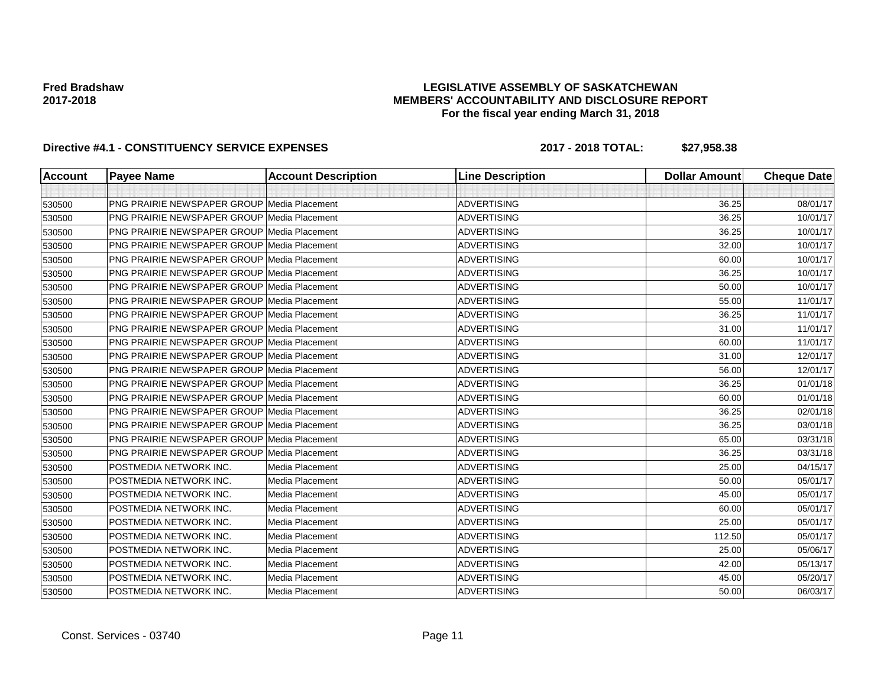### **LEGISLATIVE ASSEMBLY OF SASKATCHEWAN MEMBERS' ACCOUNTABILITY AND DISCLOSURE REPORT For the fiscal year ending March 31, 2018**

| Account | <b>Payee Name</b>                                  | <b>Account Description</b> | <b>Line Description</b> | <b>Dollar Amount</b> | <b>Cheque Date</b> |
|---------|----------------------------------------------------|----------------------------|-------------------------|----------------------|--------------------|
|         |                                                    |                            |                         |                      |                    |
| 530500  | <b>PNG PRAIRIE NEWSPAPER GROUP Media Placement</b> |                            | <b>ADVERTISING</b>      | 36.25                | 08/01/17           |
| 530500  | <b>PNG PRAIRIE NEWSPAPER GROUP Media Placement</b> |                            | <b>ADVERTISING</b>      | 36.25                | 10/01/17           |
| 530500  | <b>PNG PRAIRIE NEWSPAPER GROUP Media Placement</b> |                            | <b>ADVERTISING</b>      | 36.25                | 10/01/17           |
| 530500  | <b>PNG PRAIRIE NEWSPAPER GROUP Media Placement</b> |                            | <b>ADVERTISING</b>      | 32.00                | 10/01/17           |
| 530500  | <b>PNG PRAIRIE NEWSPAPER GROUP Media Placement</b> |                            | <b>ADVERTISING</b>      | 60.00                | 10/01/17           |
| 530500  | <b>PNG PRAIRIE NEWSPAPER GROUP Media Placement</b> |                            | <b>ADVERTISING</b>      | 36.25                | 10/01/17           |
| 530500  | <b>PNG PRAIRIE NEWSPAPER GROUP Media Placement</b> |                            | <b>ADVERTISING</b>      | 50.00                | 10/01/17           |
| 530500  | <b>PNG PRAIRIE NEWSPAPER GROUP Media Placement</b> |                            | <b>ADVERTISING</b>      | 55.00                | 11/01/17           |
| 530500  | <b>PNG PRAIRIE NEWSPAPER GROUP Media Placement</b> |                            | <b>ADVERTISING</b>      | 36.25                | 11/01/17           |
| 530500  | PNG PRAIRIE NEWSPAPER GROUP Media Placement        |                            | <b>ADVERTISING</b>      | 31.00                | 11/01/17           |
| 530500  | <b>PNG PRAIRIE NEWSPAPER GROUP Media Placement</b> |                            | <b>ADVERTISING</b>      | 60.00                | 11/01/17           |
| 530500  | PNG PRAIRIE NEWSPAPER GROUP Media Placement        |                            | <b>ADVERTISING</b>      | 31.00                | 12/01/17           |
| 530500  | <b>PNG PRAIRIE NEWSPAPER GROUP Media Placement</b> |                            | <b>ADVERTISING</b>      | 56.00                | 12/01/17           |
| 530500  | <b>PNG PRAIRIE NEWSPAPER GROUP Media Placement</b> |                            | <b>ADVERTISING</b>      | 36.25                | 01/01/18           |
| 530500  | <b>PNG PRAIRIE NEWSPAPER GROUP Media Placement</b> |                            | <b>ADVERTISING</b>      | 60.00                | 01/01/18           |
| 530500  | <b>PNG PRAIRIE NEWSPAPER GROUP Media Placement</b> |                            | <b>ADVERTISING</b>      | 36.25                | 02/01/18           |
| 530500  | <b>PNG PRAIRIE NEWSPAPER GROUP Media Placement</b> |                            | <b>ADVERTISING</b>      | 36.25                | 03/01/18           |
| 530500  | <b>PNG PRAIRIE NEWSPAPER GROUP Media Placement</b> |                            | <b>ADVERTISING</b>      | 65.00                | 03/31/18           |
| 530500  | <b>PNG PRAIRIE NEWSPAPER GROUP Media Placement</b> |                            | <b>ADVERTISING</b>      | 36.25                | 03/31/18           |
| 530500  | POSTMEDIA NETWORK INC.                             | <b>Media Placement</b>     | <b>ADVERTISING</b>      | 25.00                | 04/15/17           |
| 530500  | POSTMEDIA NETWORK INC.                             | <b>Media Placement</b>     | <b>ADVERTISING</b>      | 50.00                | 05/01/17           |
| 530500  | POSTMEDIA NETWORK INC.                             | Media Placement            | <b>ADVERTISING</b>      | 45.00                | 05/01/17           |
| 530500  | POSTMEDIA NETWORK INC.                             | Media Placement            | <b>ADVERTISING</b>      | 60.00                | 05/01/17           |
| 530500  | POSTMEDIA NETWORK INC.                             | Media Placement            | <b>ADVERTISING</b>      | 25.00                | 05/01/17           |
| 530500  | POSTMEDIA NETWORK INC.                             | Media Placement            | <b>ADVERTISING</b>      | 112.50               | 05/01/17           |
| 530500  | POSTMEDIA NETWORK INC.                             | <b>Media Placement</b>     | <b>ADVERTISING</b>      | 25.00                | 05/06/17           |
| 530500  | POSTMEDIA NETWORK INC.                             | Media Placement            | <b>ADVERTISING</b>      | 42.00                | 05/13/17           |
| 530500  | POSTMEDIA NETWORK INC.                             | Media Placement            | <b>ADVERTISING</b>      | 45.00                | 05/20/17           |
| 530500  | POSTMEDIA NETWORK INC.                             | Media Placement            | <b>ADVERTISING</b>      | 50.00                | 06/03/17           |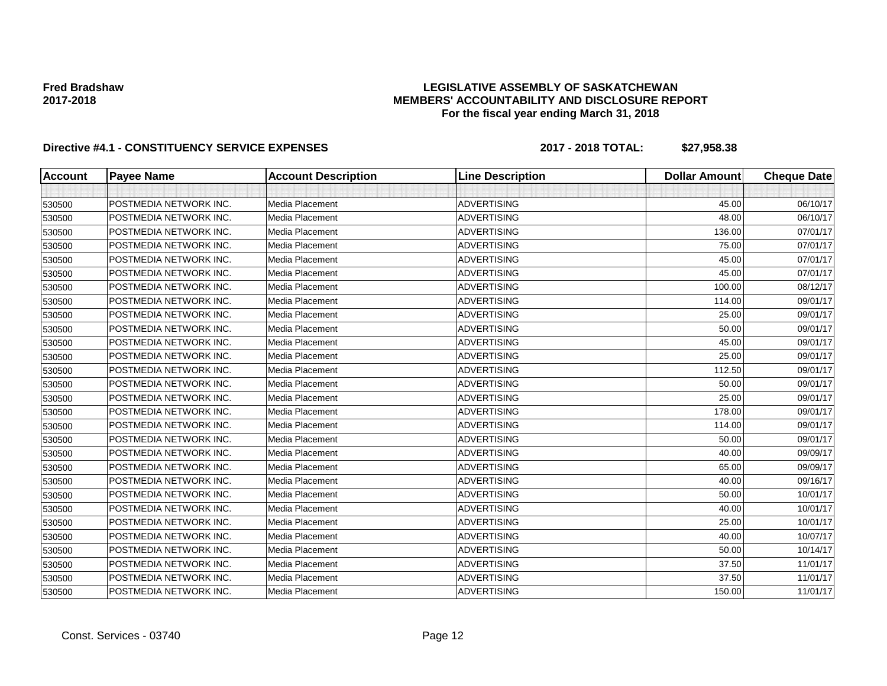#### **LEGISLATIVE ASSEMBLY OF SASKATCHEWAN MEMBERS' ACCOUNTABILITY AND DISCLOSURE REPORT For the fiscal year ending March 31, 2018**

| <b>Account</b> | <b>Payee Name</b>      | <b>Account Description</b> | <b>Line Description</b> | <b>Dollar Amount</b> | <b>Cheque Date</b> |
|----------------|------------------------|----------------------------|-------------------------|----------------------|--------------------|
|                |                        |                            |                         |                      |                    |
| 530500         | POSTMEDIA NETWORK INC. | Media Placement            | <b>ADVERTISING</b>      | 45.00                | 06/10/17           |
| 530500         | POSTMEDIA NETWORK INC. | Media Placement            | <b>ADVERTISING</b>      | 48.00                | 06/10/17           |
| 530500         | POSTMEDIA NETWORK INC. | <b>Media Placement</b>     | <b>ADVERTISING</b>      | 136.00               | 07/01/17           |
| 530500         | POSTMEDIA NETWORK INC. | Media Placement            | <b>ADVERTISING</b>      | 75.00                | 07/01/17           |
| 530500         | POSTMEDIA NETWORK INC. | <b>Media Placement</b>     | <b>ADVERTISING</b>      | 45.00                | 07/01/17           |
| 530500         | POSTMEDIA NETWORK INC. | Media Placement            | <b>ADVERTISING</b>      | 45.00                | 07/01/17           |
| 530500         | POSTMEDIA NETWORK INC. | Media Placement            | <b>ADVERTISING</b>      | 100.00               | 08/12/17           |
| 530500         | POSTMEDIA NETWORK INC. | <b>Media Placement</b>     | <b>ADVERTISING</b>      | 114.00               | 09/01/17           |
| 530500         | POSTMEDIA NETWORK INC. | Media Placement            | <b>ADVERTISING</b>      | 25.00                | 09/01/17           |
| 530500         | POSTMEDIA NETWORK INC. | Media Placement            | <b>ADVERTISING</b>      | 50.00                | 09/01/17           |
| 530500         | POSTMEDIA NETWORK INC. | Media Placement            | <b>ADVERTISING</b>      | 45.00                | 09/01/17           |
| 530500         | POSTMEDIA NETWORK INC. | Media Placement            | <b>ADVERTISING</b>      | 25.00                | 09/01/17           |
| 530500         | POSTMEDIA NETWORK INC. | <b>Media Placement</b>     | <b>ADVERTISING</b>      | 112.50               | 09/01/17           |
| 530500         | POSTMEDIA NETWORK INC. | Media Placement            | <b>ADVERTISING</b>      | 50.00                | 09/01/17           |
| 530500         | POSTMEDIA NETWORK INC. | Media Placement            | <b>ADVERTISING</b>      | 25.00                | 09/01/17           |
| 530500         | POSTMEDIA NETWORK INC. | Media Placement            | <b>ADVERTISING</b>      | 178.00               | 09/01/17           |
| 530500         | POSTMEDIA NETWORK INC. | Media Placement            | <b>ADVERTISING</b>      | 114.00               | 09/01/17           |
| 530500         | POSTMEDIA NETWORK INC. | Media Placement            | <b>ADVERTISING</b>      | 50.00                | 09/01/17           |
| 530500         | POSTMEDIA NETWORK INC. | <b>Media Placement</b>     | <b>ADVERTISING</b>      | 40.00                | 09/09/17           |
| 530500         | POSTMEDIA NETWORK INC. | Media Placement            | <b>ADVERTISING</b>      | 65.00                | 09/09/17           |
| 530500         | POSTMEDIA NETWORK INC. | <b>Media Placement</b>     | <b>ADVERTISING</b>      | 40.00                | 09/16/17           |
| 530500         | POSTMEDIA NETWORK INC. | Media Placement            | <b>ADVERTISING</b>      | 50.00                | 10/01/17           |
| 530500         | POSTMEDIA NETWORK INC. | Media Placement            | <b>ADVERTISING</b>      | 40.00                | 10/01/17           |
| 530500         | POSTMEDIA NETWORK INC. | Media Placement            | <b>ADVERTISING</b>      | 25.00                | 10/01/17           |
| 530500         | POSTMEDIA NETWORK INC. | Media Placement            | <b>ADVERTISING</b>      | 40.00                | 10/07/17           |
| 530500         | POSTMEDIA NETWORK INC. | <b>Media Placement</b>     | <b>ADVERTISING</b>      | 50.00                | 10/14/17           |
| 530500         | POSTMEDIA NETWORK INC. | Media Placement            | <b>ADVERTISING</b>      | 37.50                | 11/01/17           |
| 530500         | POSTMEDIA NETWORK INC. | Media Placement            | <b>ADVERTISING</b>      | 37.50                | 11/01/17           |
| 530500         | POSTMEDIA NETWORK INC. | Media Placement            | <b>ADVERTISING</b>      | 150.00               | 11/01/17           |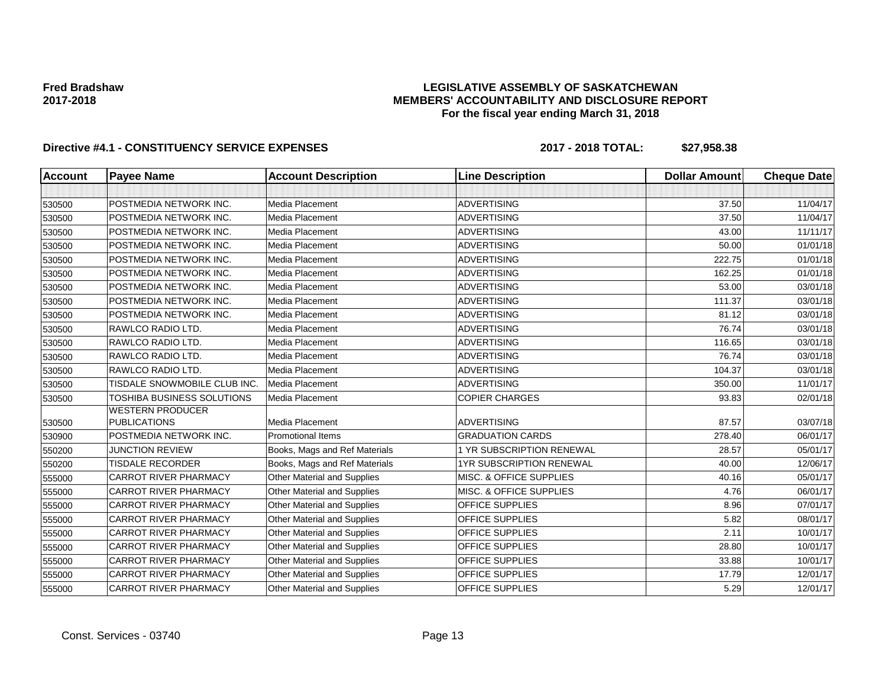### **LEGISLATIVE ASSEMBLY OF SASKATCHEWAN MEMBERS' ACCOUNTABILITY AND DISCLOSURE REPORT For the fiscal year ending March 31, 2018**

| <b>Account</b> | <b>Payee Name</b>                              | <b>Account Description</b>         | <b>Line Description</b>         | <b>Dollar Amount</b> | <b>Cheque Date</b> |
|----------------|------------------------------------------------|------------------------------------|---------------------------------|----------------------|--------------------|
|                |                                                |                                    |                                 |                      |                    |
| 530500         | POSTMEDIA NETWORK INC.                         | Media Placement                    | <b>ADVERTISING</b>              | 37.50                | 11/04/17           |
| 530500         | POSTMEDIA NETWORK INC.                         | Media Placement                    | <b>ADVERTISING</b>              | 37.50                | 11/04/17           |
| 530500         | POSTMEDIA NETWORK INC.                         | <b>Media Placement</b>             | <b>ADVERTISING</b>              | 43.00                | 11/11/17           |
| 530500         | POSTMEDIA NETWORK INC.                         | Media Placement                    | <b>ADVERTISING</b>              | 50.00                | 01/01/18           |
| 530500         | POSTMEDIA NETWORK INC.                         | Media Placement                    | <b>ADVERTISING</b>              | 222.75               | 01/01/18           |
| 530500         | POSTMEDIA NETWORK INC.                         | Media Placement                    | <b>ADVERTISING</b>              | 162.25               | 01/01/18           |
| 530500         | POSTMEDIA NETWORK INC.                         | Media Placement                    | <b>ADVERTISING</b>              | 53.00                | 03/01/18           |
| 530500         | POSTMEDIA NETWORK INC.                         | Media Placement                    | <b>ADVERTISING</b>              | 111.37               | 03/01/18           |
| 530500         | POSTMEDIA NETWORK INC.                         | Media Placement                    | <b>ADVERTISING</b>              | 81.12                | 03/01/18           |
| 530500         | RAWLCO RADIO LTD.                              | Media Placement                    | <b>ADVERTISING</b>              | 76.74                | 03/01/18           |
| 530500         | RAWLCO RADIO LTD.                              | Media Placement                    | <b>ADVERTISING</b>              | 116.65               | 03/01/18           |
| 530500         | RAWLCO RADIO LTD.                              | Media Placement                    | <b>ADVERTISING</b>              | 76.74                | 03/01/18           |
| 530500         | RAWLCO RADIO LTD.                              | <b>Media Placement</b>             | <b>ADVERTISING</b>              | 104.37               | 03/01/18           |
| 530500         | TISDALE SNOWMOBILE CLUB INC.                   | Media Placement                    | <b>ADVERTISING</b>              | 350.00               | 11/01/17           |
| 530500         | TOSHIBA BUSINESS SOLUTIONS                     | Media Placement                    | <b>COPIER CHARGES</b>           | 93.83                | 02/01/18           |
|                | <b>WESTERN PRODUCER</b><br><b>PUBLICATIONS</b> | <b>Media Placement</b>             | <b>ADVERTISING</b>              | 87.57                | 03/07/18           |
| 530500         | POSTMEDIA NETWORK INC.                         | <b>Promotional Items</b>           | <b>GRADUATION CARDS</b>         | 278.40               | 06/01/17           |
| 530900         | <b>JUNCTION REVIEW</b>                         | Books, Mags and Ref Materials      | 1 YR SUBSCRIPTION RENEWAL       | 28.57                | 05/01/17           |
| 550200         | <b>TISDALE RECORDER</b>                        | Books, Mags and Ref Materials      | <b>1YR SUBSCRIPTION RENEWAL</b> | 40.00                | 12/06/17           |
| 550200         | <b>CARROT RIVER PHARMACY</b>                   | Other Material and Supplies        | MISC. & OFFICE SUPPLIES         | 40.16                | 05/01/17           |
| 555000         | <b>CARROT RIVER PHARMACY</b>                   | Other Material and Supplies        | MISC. & OFFICE SUPPLIES         | 4.76                 | 06/01/17           |
| 555000         | <b>CARROT RIVER PHARMACY</b>                   | <b>Other Material and Supplies</b> | <b>OFFICE SUPPLIES</b>          | 8.96                 | 07/01/17           |
| 555000         | <b>CARROT RIVER PHARMACY</b>                   | Other Material and Supplies        | OFFICE SUPPLIES                 | 5.82                 | 08/01/17           |
| 555000         | <b>CARROT RIVER PHARMACY</b>                   | Other Material and Supplies        | OFFICE SUPPLIES                 | 2.11                 | 10/01/17           |
| 555000         | <b>CARROT RIVER PHARMACY</b>                   |                                    | OFFICE SUPPLIES                 | 28.80                | 10/01/17           |
| 555000         |                                                | Other Material and Supplies        |                                 |                      |                    |
| 555000         | <b>CARROT RIVER PHARMACY</b>                   | Other Material and Supplies        | OFFICE SUPPLIES                 | 33.88                | 10/01/17           |
| 555000         | <b>CARROT RIVER PHARMACY</b>                   | Other Material and Supplies        | OFFICE SUPPLIES                 | 17.79                | 12/01/17           |
| 555000         | <b>CARROT RIVER PHARMACY</b>                   | Other Material and Supplies        | OFFICE SUPPLIES                 | 5.29                 | 12/01/17           |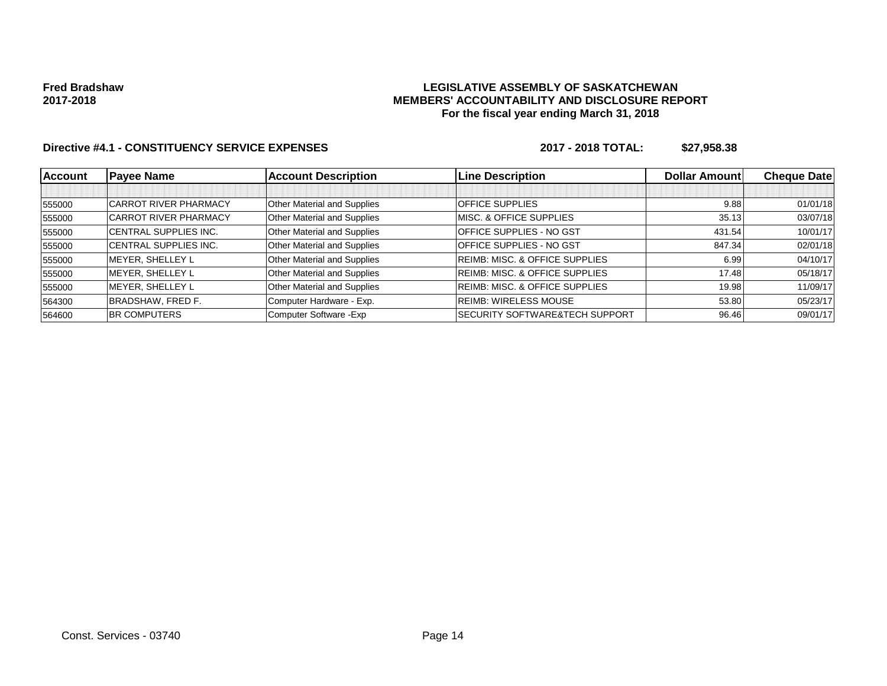#### **LEGISLATIVE ASSEMBLY OF SASKATCHEWAN MEMBERS' ACCOUNTABILITY AND DISCLOSURE REPORT For the fiscal year ending March 31, 2018**

| Account | <b>Payee Name</b>            | <b>Account Description</b>  | <b>Line Description</b>                   | <b>Dollar Amount</b> | <b>Cheque Datel</b> |
|---------|------------------------------|-----------------------------|-------------------------------------------|----------------------|---------------------|
|         |                              |                             |                                           |                      |                     |
| 555000  | <b>CARROT RIVER PHARMACY</b> | Other Material and Supplies | <b>OFFICE SUPPLIES</b>                    | 9.88                 | 01/01/18            |
| 555000  | <b>CARROT RIVER PHARMACY</b> | Other Material and Supplies | <b>MISC. &amp; OFFICE SUPPLIES</b>        | 35.13                | 03/07/18            |
| 555000  | <b>CENTRAL SUPPLIES INC.</b> | Other Material and Supplies | <b>OFFICE SUPPLIES - NO GST</b>           | 431.54               | 10/01/17            |
| 555000  | CENTRAL SUPPLIES INC.        | Other Material and Supplies | <b>OFFICE SUPPLIES - NO GST</b>           | 847.34               | 02/01/18            |
| 555000  | MEYER, SHELLEY L             | Other Material and Supplies | <b>REIMB: MISC. &amp; OFFICE SUPPLIES</b> | 6.99                 | 04/10/17            |
| 555000  | MEYER, SHELLEY L             | Other Material and Supplies | <b>REIMB: MISC. &amp; OFFICE SUPPLIES</b> | 17.48                | 05/18/17            |
| 555000  | MEYER, SHELLEY L             | Other Material and Supplies | <b>REIMB: MISC. &amp; OFFICE SUPPLIES</b> | 19.98                | 11/09/17            |
| 564300  | <b>BRADSHAW, FRED F.</b>     | Computer Hardware - Exp.    | REIMB: WIRELESS MOUSE                     | 53.80                | 05/23/17            |
| 564600  | <b>BR COMPUTERS</b>          | Computer Software - Exp     | <b>SECURITY SOFTWARE&amp;TECH SUPPORT</b> | 96.46                | 09/01/17            |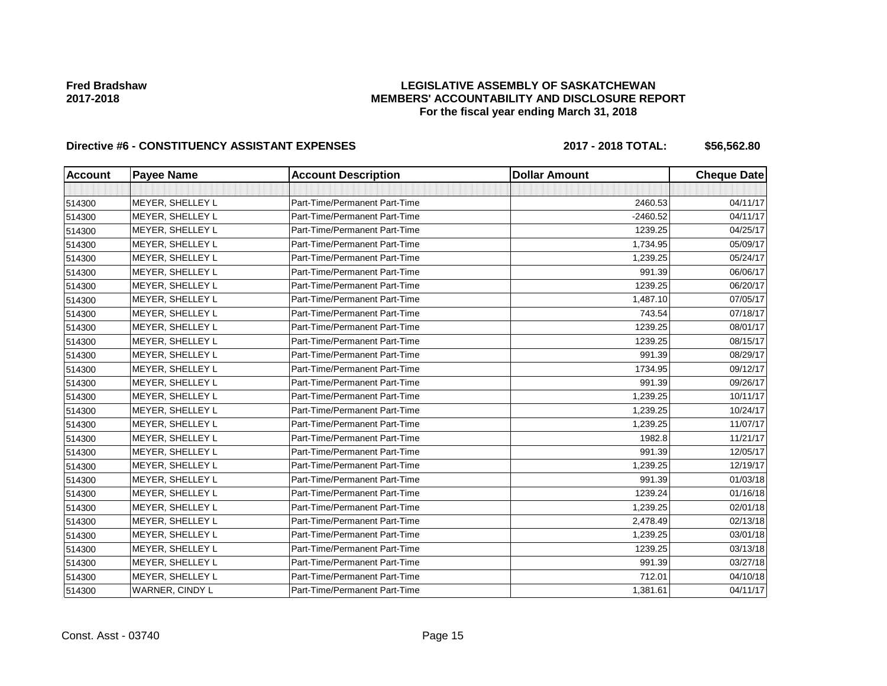### **LEGISLATIVE ASSEMBLY OF SASKATCHEWAN MEMBERS' ACCOUNTABILITY AND DISCLOSURE REPORT For the fiscal year ending March 31, 2018**

# Directive #6 - CONSTITUENCY ASSISTANT EXPENSES 2017 - 2018 TOTAL: \$56,562.80

| <b>Account</b> | <b>Payee Name</b> | <b>Account Description</b>    | <b>Dollar Amount</b> | <b>Cheque Date</b> |
|----------------|-------------------|-------------------------------|----------------------|--------------------|
|                |                   |                               |                      |                    |
| 514300         | MEYER, SHELLEY L  | Part-Time/Permanent Part-Time | 2460.53              | 04/11/17           |
| 514300         | MEYER, SHELLEY L  | Part-Time/Permanent Part-Time | $-2460.52$           | 04/11/17           |
| 514300         | MEYER, SHELLEY L  | Part-Time/Permanent Part-Time | 1239.25              | 04/25/17           |
| 514300         | MEYER, SHELLEY L  | Part-Time/Permanent Part-Time | 1,734.95             | 05/09/17           |
| 514300         | MEYER, SHELLEY L  | Part-Time/Permanent Part-Time | 1,239.25             | 05/24/17           |
| 514300         | MEYER, SHELLEY L  | Part-Time/Permanent Part-Time | 991.39               | 06/06/17           |
| 514300         | MEYER, SHELLEY L  | Part-Time/Permanent Part-Time | 1239.25              | 06/20/17           |
| 514300         | MEYER, SHELLEY L  | Part-Time/Permanent Part-Time | 1,487.10             | 07/05/17           |
| 514300         | MEYER, SHELLEY L  | Part-Time/Permanent Part-Time | 743.54               | 07/18/17           |
| 514300         | MEYER, SHELLEY L  | Part-Time/Permanent Part-Time | 1239.25              | 08/01/17           |
| 514300         | MEYER, SHELLEY L  | Part-Time/Permanent Part-Time | 1239.25              | 08/15/17           |
| 514300         | MEYER, SHELLEY L  | Part-Time/Permanent Part-Time | 991.39               | 08/29/17           |
| 514300         | MEYER, SHELLEY L  | Part-Time/Permanent Part-Time | 1734.95              | 09/12/17           |
| 514300         | MEYER, SHELLEY L  | Part-Time/Permanent Part-Time | 991.39               | 09/26/17           |
| 514300         | MEYER, SHELLEY L  | Part-Time/Permanent Part-Time | 1,239.25             | 10/11/17           |
| 514300         | MEYER, SHELLEY L  | Part-Time/Permanent Part-Time | 1,239.25             | 10/24/17           |
| 514300         | MEYER, SHELLEY L  | Part-Time/Permanent Part-Time | 1,239.25             | 11/07/17           |
| 514300         | MEYER, SHELLEY L  | Part-Time/Permanent Part-Time | 1982.8               | 11/21/17           |
| 514300         | MEYER, SHELLEY L  | Part-Time/Permanent Part-Time | 991.39               | 12/05/17           |
| 514300         | MEYER, SHELLEY L  | Part-Time/Permanent Part-Time | 1,239.25             | 12/19/17           |
| 514300         | MEYER, SHELLEY L  | Part-Time/Permanent Part-Time | 991.39               | 01/03/18           |
| 514300         | MEYER, SHELLEY L  | Part-Time/Permanent Part-Time | 1239.24              | 01/16/18           |
| 514300         | MEYER, SHELLEY L  | Part-Time/Permanent Part-Time | 1,239.25             | 02/01/18           |
| 514300         | MEYER, SHELLEY L  | Part-Time/Permanent Part-Time | 2,478.49             | 02/13/18           |
| 514300         | MEYER, SHELLEY L  | Part-Time/Permanent Part-Time | 1,239.25             | 03/01/18           |
| 514300         | MEYER, SHELLEY L  | Part-Time/Permanent Part-Time | 1239.25              | 03/13/18           |
| 514300         | MEYER, SHELLEY L  | Part-Time/Permanent Part-Time | 991.39               | 03/27/18           |
| 514300         | MEYER, SHELLEY L  | Part-Time/Permanent Part-Time | 712.01               | 04/10/18           |
| 514300         | WARNER, CINDY L   | Part-Time/Permanent Part-Time | 1,381.61             | 04/11/17           |